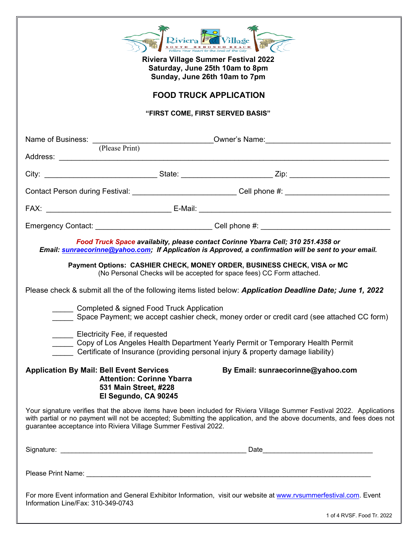| Riviera Village<br>Follow Your Heart to the Soul of the City<br><b>Riviera Village Summer Festival 2022</b><br>Saturday, June 25th 10am to 8pm<br>Sunday, June 26th 10am to 7pm<br><b>FOOD TRUCK APPLICATION</b> |                                                                                                                               |                                                                                                                                                                                                                                                                                                                                                                                                                                                                                                                                                                                                                                                                                                                                                                       |  |  |  |
|------------------------------------------------------------------------------------------------------------------------------------------------------------------------------------------------------------------|-------------------------------------------------------------------------------------------------------------------------------|-----------------------------------------------------------------------------------------------------------------------------------------------------------------------------------------------------------------------------------------------------------------------------------------------------------------------------------------------------------------------------------------------------------------------------------------------------------------------------------------------------------------------------------------------------------------------------------------------------------------------------------------------------------------------------------------------------------------------------------------------------------------------|--|--|--|
| "FIRST COME, FIRST SERVED BASIS"                                                                                                                                                                                 |                                                                                                                               |                                                                                                                                                                                                                                                                                                                                                                                                                                                                                                                                                                                                                                                                                                                                                                       |  |  |  |
|                                                                                                                                                                                                                  |                                                                                                                               | Name of Business: <u>(Please Print)</u> Cowner's Name: <u>(2001)</u> Cowner's Name: (2001)                                                                                                                                                                                                                                                                                                                                                                                                                                                                                                                                                                                                                                                                            |  |  |  |
|                                                                                                                                                                                                                  |                                                                                                                               |                                                                                                                                                                                                                                                                                                                                                                                                                                                                                                                                                                                                                                                                                                                                                                       |  |  |  |
|                                                                                                                                                                                                                  |                                                                                                                               | Contact Person during Festival: _____________________________Cell phone #: _________________________                                                                                                                                                                                                                                                                                                                                                                                                                                                                                                                                                                                                                                                                  |  |  |  |
|                                                                                                                                                                                                                  |                                                                                                                               |                                                                                                                                                                                                                                                                                                                                                                                                                                                                                                                                                                                                                                                                                                                                                                       |  |  |  |
|                                                                                                                                                                                                                  |                                                                                                                               | Emergency Contact: <u>example and the contract of Cell phone #:</u> Cell phone #:                                                                                                                                                                                                                                                                                                                                                                                                                                                                                                                                                                                                                                                                                     |  |  |  |
|                                                                                                                                                                                                                  | Completed & signed Food Truck Application<br>Electricity Fee, if requested<br><b>Application By Mail: Bell Event Services</b> | Food Truck Space availabity, please contact Corinne Ybarra Cell; 310 251.4358 or<br>Email: sunraecorinne@yahoo.com; If Application is Approved, a confirmation will be sent to your email.<br>Payment Options: CASHIER CHECK, MONEY ORDER, BUSINESS CHECK, VISA or MC<br>(No Personal Checks will be accepted for space fees) CC Form attached.<br>Please check & submit all the of the following items listed below: Application Deadline Date; June 1, 2022<br>Space Payment; we accept cashier check, money order or credit card (see attached CC form)<br>Copy of Los Angeles Health Department Yearly Permit or Temporary Health Permit<br>Certificate of Insurance (providing personal injury & property damage liability)<br>By Email: sunraecorinne@yahoo.com |  |  |  |
|                                                                                                                                                                                                                  | <b>Attention: Corinne Ybarra</b><br>531 Main Street, #228<br>El Segundo, CA 90245                                             |                                                                                                                                                                                                                                                                                                                                                                                                                                                                                                                                                                                                                                                                                                                                                                       |  |  |  |
|                                                                                                                                                                                                                  | guarantee acceptance into Riviera Village Summer Festival 2022.                                                               | Your signature verifies that the above items have been included for Riviera Village Summer Festival 2022. Applications<br>with partial or no payment will not be accepted; Submitting the application, and the above documents, and fees does not                                                                                                                                                                                                                                                                                                                                                                                                                                                                                                                     |  |  |  |
|                                                                                                                                                                                                                  |                                                                                                                               |                                                                                                                                                                                                                                                                                                                                                                                                                                                                                                                                                                                                                                                                                                                                                                       |  |  |  |
| Information Line/Fax: 310-349-0743                                                                                                                                                                               |                                                                                                                               | For more Event information and General Exhibitor Information, visit our website at www.rvsummerfestival.com. Event                                                                                                                                                                                                                                                                                                                                                                                                                                                                                                                                                                                                                                                    |  |  |  |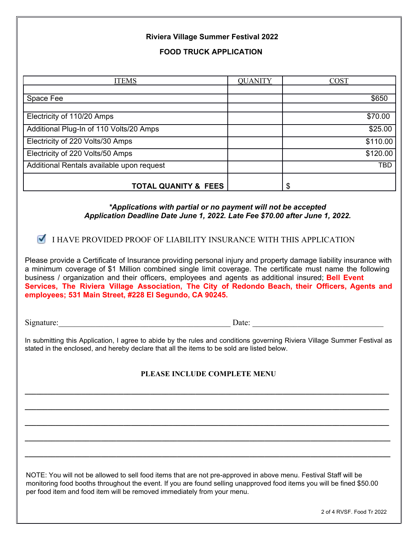## **Riviera Village Summer Festival 2022**

**FOOD TRUCK APPLICATION**

| <b>ITEMS</b>                              | <b>QUANITY</b> | <b>COST</b> |
|-------------------------------------------|----------------|-------------|
|                                           |                |             |
| Space Fee                                 |                | \$650       |
|                                           |                |             |
| Electricity of 110/20 Amps                |                | \$70.00     |
| Additional Plug-In of 110 Volts/20 Amps   |                | \$25.00     |
| Electricity of 220 Volts/30 Amps          |                | \$110.00    |
| Electricity of 220 Volts/50 Amps          |                | \$120.00    |
| Additional Rentals available upon request |                | <b>TBD</b>  |
| <b>TOTAL QUANITY &amp; FEES</b>           |                | S           |

## *\*Applications with partial or no payment will not be accepted Application Deadline Date June 1, 2022. Late Fee \$70.00 after June 1, 2022.*

**I HAVE PROVIDED PROOF OF LIABILITY INSURANCE WITH THIS APPLICATION** 

Please provide a Certificate of Insurance providing personal injury and property damage liability insurance with a minimum coverage of \$1 Million combined single limit coverage. The certificate must name the following business / organization and their officers, employees and agents as additional insured; **Bell Event Services, The Riviera Village Association, The City of Redondo Beach, their Officers, Agents and employees; 531 Main Street, #228 El Segundo, CA 90245.**

Signature:  $\Box$ 

In submitting this Application, I agree to abide by the rules and conditions governing Riviera Village Summer Festival as stated in the enclosed, and hereby declare that all the items to be sold are listed below.

## **PLEASE INCLUDE COMPLETE MENU**

**\_\_\_\_\_\_\_\_\_\_\_\_\_\_\_\_\_\_\_\_\_\_\_\_\_\_\_\_\_\_\_\_\_\_\_\_\_\_\_\_\_\_\_\_\_\_\_\_\_\_\_\_\_\_\_\_\_\_\_\_\_\_\_\_\_\_\_\_\_\_\_\_\_\_\_\_\_\_\_\_\_\_\_\_\_\_\_\_\_\_\_\_\_\_\_\_**

**\_\_\_\_\_\_\_\_\_\_\_\_\_\_\_\_\_\_\_\_\_\_\_\_\_\_\_\_\_\_\_\_\_\_\_\_\_\_\_\_\_\_\_\_\_\_\_\_\_\_\_\_\_\_\_\_\_\_\_\_\_\_\_\_\_\_\_\_\_\_\_\_\_\_\_\_\_\_\_\_\_\_\_\_\_\_\_\_\_\_\_\_\_\_\_\_**

**\_\_\_\_\_\_\_\_\_\_\_\_\_\_\_\_\_\_\_\_\_\_\_\_\_\_\_\_\_\_\_\_\_\_\_\_\_\_\_\_\_\_\_\_\_\_\_\_\_\_\_\_\_\_\_\_\_\_\_\_\_\_\_\_\_\_\_\_\_\_\_\_\_\_\_\_\_\_\_\_\_\_\_\_\_\_\_\_\_\_\_\_\_\_\_\_**

**\_\_\_\_\_\_\_\_\_\_\_\_\_\_\_\_\_\_\_\_\_\_\_\_\_\_\_\_\_\_\_\_\_\_\_\_\_\_\_\_\_\_\_\_\_\_\_\_\_\_\_\_\_\_\_\_\_\_\_\_\_\_\_\_\_\_\_\_\_\_\_\_\_\_\_\_\_\_\_\_\_\_\_\_\_\_\_\_\_\_\_\_\_\_\_\_**

**\_\_\_\_\_\_\_\_\_\_\_\_\_\_\_\_\_\_\_\_\_\_\_\_\_\_\_\_\_\_\_\_\_\_\_\_\_\_\_\_\_\_\_\_\_\_\_\_\_\_\_\_\_\_\_\_\_\_\_\_\_\_\_\_\_\_\_\_\_\_\_\_\_\_\_\_\_\_\_\_\_\_\_\_\_\_\_\_\_\_\_\_\_\_\_\_**

NOTE: You will not be allowed to sell food items that are not pre-approved in above menu. Festival Staff will be monitoring food booths throughout the event. If you are found selling unapproved food items you will be fined \$50.00 per food item and food item will be removed immediately from your menu.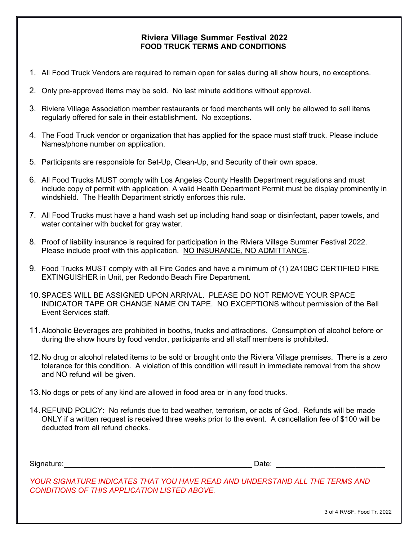## **Riviera Village Summer Festival 2022 FOOD TRUCK TERMS AND CONDITIONS**

- 1. All Food Truck Vendors are required to remain open for sales during all show hours, no exceptions.
- 2. Only pre-approved items may be sold. No last minute additions without approval.
- 3. Riviera Village Association member restaurants or food merchants will only be allowed to sell items regularly offered for sale in their establishment. No exceptions.
- 4. The Food Truck vendor or organization that has applied for the space must staff truck. Please include Names/phone number on application.
- 5. Participants are responsible for Set-Up, Clean-Up, and Security of their own space.
- 6. All Food Trucks MUST comply with Los Angeles County Health Department regulations and must include copy of permit with application. A valid Health Department Permit must be display prominently in windshield. The Health Department strictly enforces this rule.
- 7. All Food Trucks must have a hand wash set up including hand soap or disinfectant, paper towels, and water container with bucket for gray water.
- 8. Proof of liability insurance is required for participation in the Riviera Village Summer Festival 2022. Please include proof with this application. NO INSURANCE, NO ADMITTANCE.
- 9. Food Trucks MUST comply with all Fire Codes and have a minimum of (1) 2A10BC CERTIFIED FIRE EXTINGUISHER in Unit, per Redondo Beach Fire Department.
- 10.SPACES WILL BE ASSIGNED UPON ARRIVAL. PLEASE DO NOT REMOVE YOUR SPACE INDICATOR TAPE OR CHANGE NAME ON TAPE. NO EXCEPTIONS without permission of the Bell Event Services staff.
- 11.Alcoholic Beverages are prohibited in booths, trucks and attractions. Consumption of alcohol before or during the show hours by food vendor, participants and all staff members is prohibited.
- 12.No drug or alcohol related items to be sold or brought onto the Riviera Village premises. There is a zero tolerance for this condition. A violation of this condition will result in immediate removal from the show and NO refund will be given.
- 13.No dogs or pets of any kind are allowed in food area or in any food trucks.
- 14.REFUND POLICY: No refunds due to bad weather, terrorism, or acts of God. Refunds will be made ONLY if a written request is received three weeks prior to the event. A cancellation fee of \$100 will be deducted from all refund checks.

Signature: etc. and the set of the set of the set of the set of the set of the set of the set of the set of the set of the set of the set of the set of the set of the set of the set of the set of the set of the set of the

*YOUR SIGNATURE INDICATES THAT YOU HAVE READ AND UNDERSTAND ALL THE TERMS AND CONDITIONS OF THIS APPLICATION LISTED ABOVE.*

3 of 4 RVSF. Food Tr. 2022